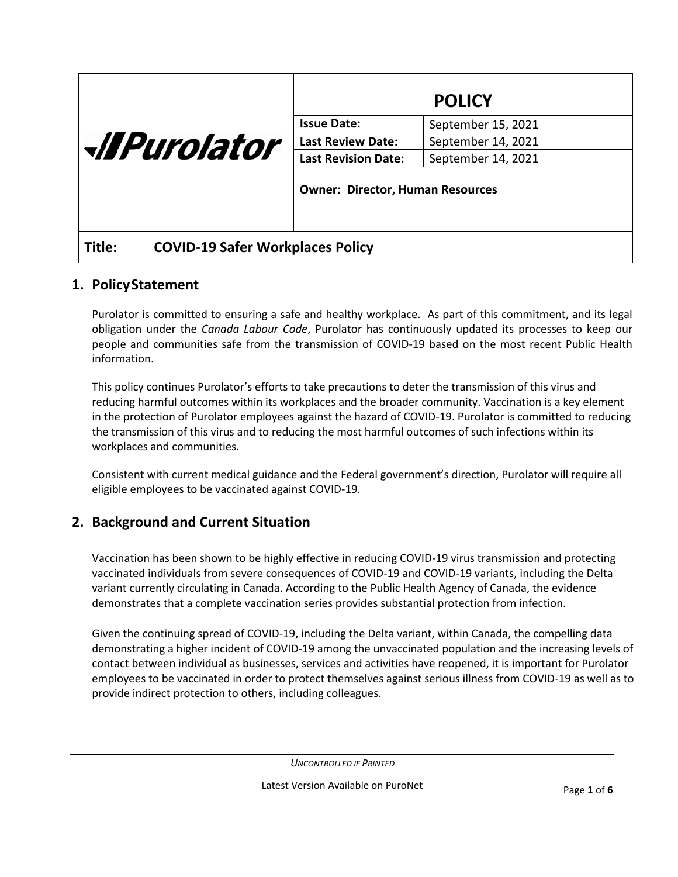| <i><u><b>All Purolator</b></u></i> |                                         | <b>POLICY</b>                           |                    |
|------------------------------------|-----------------------------------------|-----------------------------------------|--------------------|
|                                    |                                         | <b>Issue Date:</b>                      | September 15, 2021 |
|                                    |                                         | <b>Last Review Date:</b>                | September 14, 2021 |
|                                    |                                         | <b>Last Revision Date:</b>              | September 14, 2021 |
|                                    |                                         | <b>Owner: Director, Human Resources</b> |                    |
| Title:                             | <b>COVID-19 Safer Workplaces Policy</b> |                                         |                    |

### **1. PolicyStatement**

Purolator is committed to ensuring a safe and healthy workplace. As part of this commitment, and its legal obligation under the *Canada Labour Code*, Purolator has continuously updated its processes to keep our people and communities safe from the transmission of COVID-19 based on the most recent Public Health information.

This policy continues Purolator's efforts to take precautions to deter the transmission of this virus and reducing harmful outcomes within its workplaces and the broader community. Vaccination is a key element in the protection of Purolator employees against the hazard of COVID-19. Purolator is committed to reducing the transmission of this virus and to reducing the most harmful outcomes of such infections within its workplaces and communities.

Consistent with current medical guidance and the Federal government's direction, Purolator will require all eligible employees to be vaccinated against COVID-19.

# **2. Background and Current Situation**

Vaccination has been shown to be highly effective in reducing COVID-19 virus transmission and protecting vaccinated individuals from severe consequences of COVID-19 and COVID-19 variants, including the Delta variant currently circulating in Canada. According to the Public Health Agency of Canada, the evidence demonstrates that a complete vaccination series provides substantial protection from infection.

Given the continuing spread of COVID-19, including the Delta variant, within Canada, the compelling data demonstrating a higher incident of COVID-19 among the unvaccinated population and the increasing levels of contact between individual as businesses, services and activities have reopened, it is important for Purolator employees to be vaccinated in order to protect themselves against serious illness from COVID-19 as well as to provide indirect protection to others, including colleagues.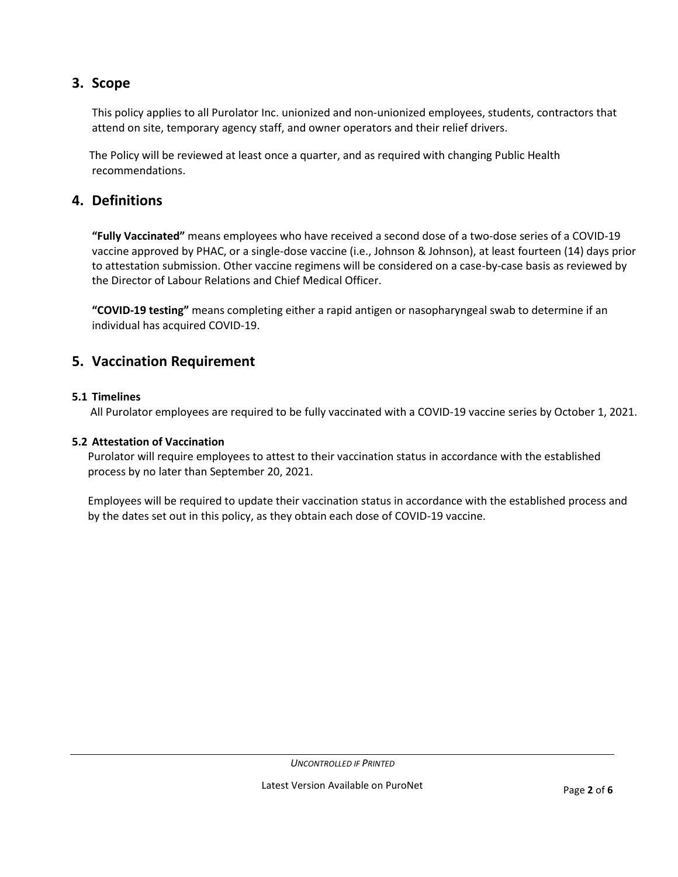# **3. Scope**

This policy applies to all Purolator Inc. unionized and non-unionized employees, students, contractors that attend on site, temporary agency staff, and owner operators and their relief drivers.

The Policy will be reviewed at least once a quarter, and as required with changing Public Health recommendations.

## **4. Definitions**

**"Fully Vaccinated"** means employees who have received a second dose of a two-dose series of a COVID-19 vaccine approved by PHAC, or a single-dose vaccine (i.e., Johnson & Johnson), at least fourteen (14) days prior to attestation submission. Other vaccine regimens will be considered on a case-by-case basis as reviewed by the Director of Labour Relations and Chief Medical Officer.

**"COVID-19 testing"** means completing either a rapid antigen or nasopharyngeal swab to determine if an individual has acquired COVID-19.

### **5. Vaccination Requirement**

#### **5.1 Timelines**

All Purolator employees are required to be fully vaccinated with a COVID-19 vaccine series by October 1, 2021.

#### **5.2 Attestation of Vaccination**

Purolator will require employees to attest to their vaccination status in accordance with the established process by no later than September 20, 2021.

Employees will be required to update their vaccination status in accordance with the established process and by the dates set out in this policy, as they obtain each dose of COVID-19 vaccine.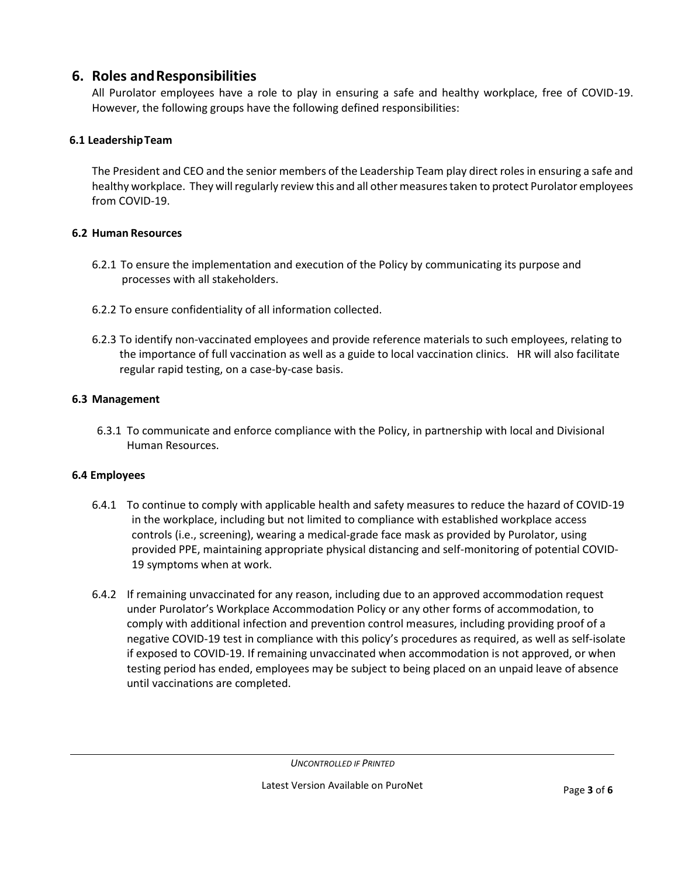### **6. Roles andResponsibilities**

All Purolator employees have a role to play in ensuring a safe and healthy workplace, free of COVID-19. However, the following groups have the following defined responsibilities:

### **6.1 LeadershipTeam**

The President and CEO and the senior members of the Leadership Team play direct roles in ensuring a safe and healthy workplace. They will regularly review this and all other measures taken to protect Purolator employees from COVID-19.

### **6.2 Human Resources**

- 6.2.1 To ensure the implementation and execution of the Policy by communicating its purpose and processes with all stakeholders.
- 6.2.2 To ensure confidentiality of all information collected.
- 6.2.3 To identify non-vaccinated employees and provide reference materials to such employees, relating to the importance of full vaccination as well as a guide to local vaccination clinics. HR will also facilitate regular rapid testing, on a case-by-case basis.

### **6.3 Management**

6.3.1 To communicate and enforce compliance with the Policy, in partnership with local and Divisional Human Resources.

#### **6.4 Employees**

- 6.4.1 To continue to comply with applicable health and safety measures to reduce the hazard of COVID-19 in the workplace, including but not limited to compliance with established workplace access controls (i.e., screening), wearing a medical-grade face mask as provided by Purolator, using provided PPE, maintaining appropriate physical distancing and self-monitoring of potential COVID-19 symptoms when at work.
- 6.4.2 If remaining unvaccinated for any reason, including due to an approved accommodation request under Purolator's Workplace Accommodation Policy or any other forms of accommodation, to comply with additional infection and prevention control measures, including providing proof of a negative COVID-19 test in compliance with this policy's procedures as required, as well as self-isolate if exposed to COVID-19. If remaining unvaccinated when accommodation is not approved, or when testing period has ended, employees may be subject to being placed on an unpaid leave of absence until vaccinations are completed.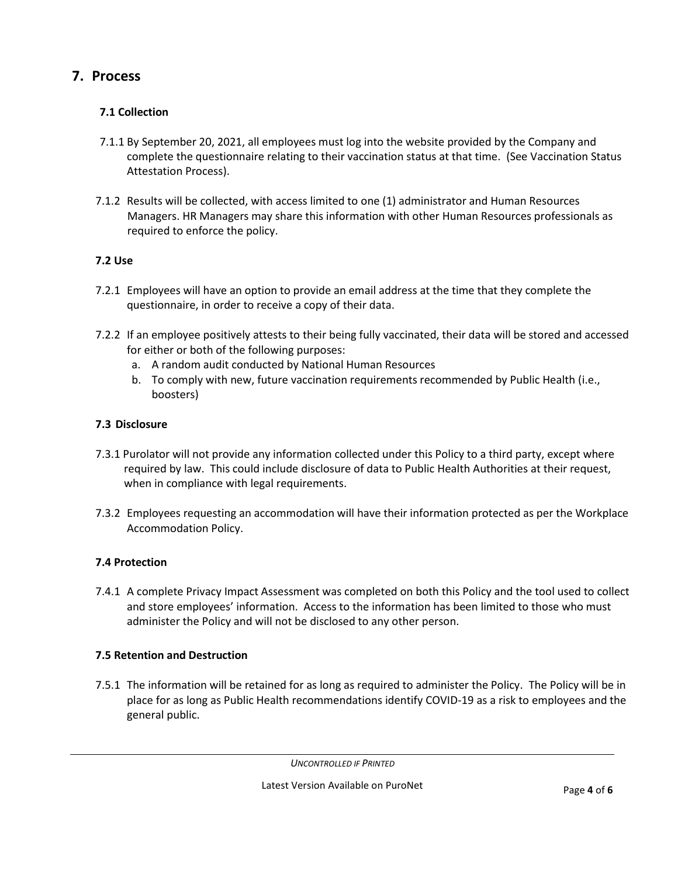# **7. Process**

### **7.1 Collection**

- 7.1.1 By September 20, 2021, all employees must log into the website provided by the Company and complete the questionnaire relating to their vaccination status at that time. (See Vaccination Status Attestation Process).
- 7.1.2 Results will be collected, with access limited to one (1) administrator and Human Resources Managers. HR Managers may share this information with other Human Resources professionals as required to enforce the policy.

### **7.2 Use**

- 7.2.1 Employees will have an option to provide an email address at the time that they complete the questionnaire, in order to receive a copy of their data.
- 7.2.2 If an employee positively attests to their being fully vaccinated, their data will be stored and accessed for either or both of the following purposes:
	- a. A random audit conducted by National Human Resources
	- b. To comply with new, future vaccination requirements recommended by Public Health (i.e., boosters)

### **7.3 Disclosure**

- 7.3.1 Purolator will not provide any information collected under this Policy to a third party, except where required by law. This could include disclosure of data to Public Health Authorities at their request, when in compliance with legal requirements.
- 7.3.2 Employees requesting an accommodation will have their information protected as per the Workplace Accommodation Policy.

## **7.4 Protection**

7.4.1 A complete Privacy Impact Assessment was completed on both this Policy and the tool used to collect and store employees' information. Access to the information has been limited to those who must administer the Policy and will not be disclosed to any other person.

## **7.5 Retention and Destruction**

7.5.1 The information will be retained for as long as required to administer the Policy. The Policy will be in place for as long as Public Health recommendations identify COVID-19 as a risk to employees and the general public.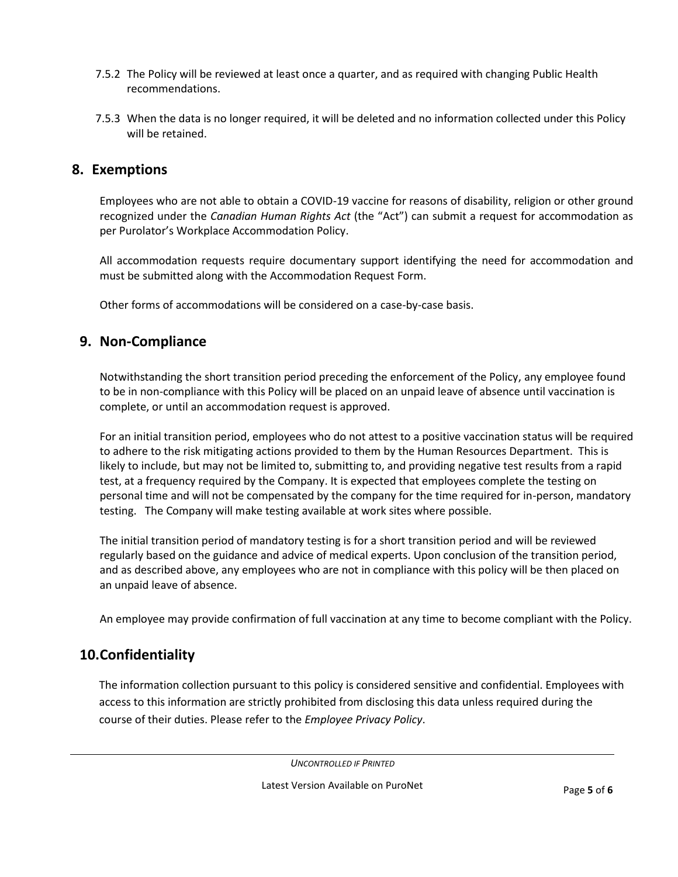- 7.5.2 The Policy will be reviewed at least once a quarter, and as required with changing Public Health recommendations.
- 7.5.3 When the data is no longer required, it will be deleted and no information collected under this Policy will be retained.

### **8. Exemptions**

Employees who are not able to obtain a COVID-19 vaccine for reasons of disability, religion or other ground recognized under the *Canadian Human Rights Act* (the "Act") can submit a request for accommodation as per Purolator's Workplace Accommodation Policy.

All accommodation requests require documentary support identifying the need for accommodation and must be submitted along with the Accommodation Request Form.

Other forms of accommodations will be considered on a case-by-case basis.

### **9. Non-Compliance**

Notwithstanding the short transition period preceding the enforcement of the Policy, any employee found to be in non-compliance with this Policy will be placed on an unpaid leave of absence until vaccination is complete, or until an accommodation request is approved.

For an initial transition period, employees who do not attest to a positive vaccination status will be required to adhere to the risk mitigating actions provided to them by the Human Resources Department. This is likely to include, but may not be limited to, submitting to, and providing negative test results from a rapid test, at a frequency required by the Company. It is expected that employees complete the testing on personal time and will not be compensated by the company for the time required for in-person, mandatory testing. The Company will make testing available at work sites where possible.

The initial transition period of mandatory testing is for a short transition period and will be reviewed regularly based on the guidance and advice of medical experts. Upon conclusion of the transition period, and as described above, any employees who are not in compliance with this policy will be then placed on an unpaid leave of absence.

An employee may provide confirmation of full vaccination at any time to become compliant with the Policy.

## **10.Confidentiality**

The information collection pursuant to this policy is considered sensitive and confidential. Employees with access to this information are strictly prohibited from disclosing this data unless required during the course of their duties. Please refer to the *Employee Privacy Policy*.

*UNCONTROLLED IF PRINTED*